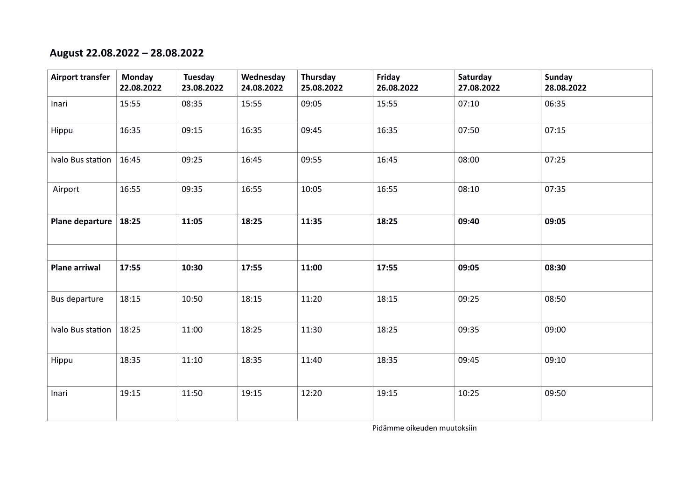### **August 22.08.2022 – 28.08.2022**

| <b>Airport transfer</b> | <b>Monday</b><br>22.08.2022 | Tuesday<br>23.08.2022 | Wednesday<br>24.08.2022 | Thursday<br>25.08.2022 | Friday<br>26.08.2022 | Saturday<br>27.08.2022 | <b>Sunday</b><br>28.08.2022 |
|-------------------------|-----------------------------|-----------------------|-------------------------|------------------------|----------------------|------------------------|-----------------------------|
| Inari                   | 15:55                       | 08:35                 | 15:55                   | 09:05                  | 15:55                | 07:10                  | 06:35                       |
| Hippu                   | 16:35                       | 09:15                 | 16:35                   | 09:45                  | 16:35                | 07:50                  | 07:15                       |
| Ivalo Bus station       | 16:45                       | 09:25                 | 16:45                   | 09:55                  | 16:45                | 08:00                  | 07:25                       |
| Airport                 | 16:55                       | 09:35                 | 16:55                   | 10:05                  | 16:55                | 08:10                  | 07:35                       |
| Plane departure         | 18:25                       | 11:05                 | 18:25                   | 11:35                  | 18:25                | 09:40                  | 09:05                       |
|                         |                             |                       |                         |                        |                      |                        |                             |
| <b>Plane arriwal</b>    | 17:55                       | 10:30                 | 17:55                   | 11:00                  | 17:55                | 09:05                  | 08:30                       |
| Bus departure           | 18:15                       | 10:50                 | 18:15                   | 11:20                  | 18:15                | 09:25                  | 08:50                       |
| Ivalo Bus station       | 18:25                       | 11:00                 | 18:25                   | 11:30                  | 18:25                | 09:35                  | 09:00                       |
| Hippu                   | 18:35                       | 11:10                 | 18:35                   | 11:40                  | 18:35                | 09:45                  | 09:10                       |
| Inari                   | 19:15                       | 11:50                 | 19:15                   | 12:20                  | 19:15                | 10:25                  | 09:50                       |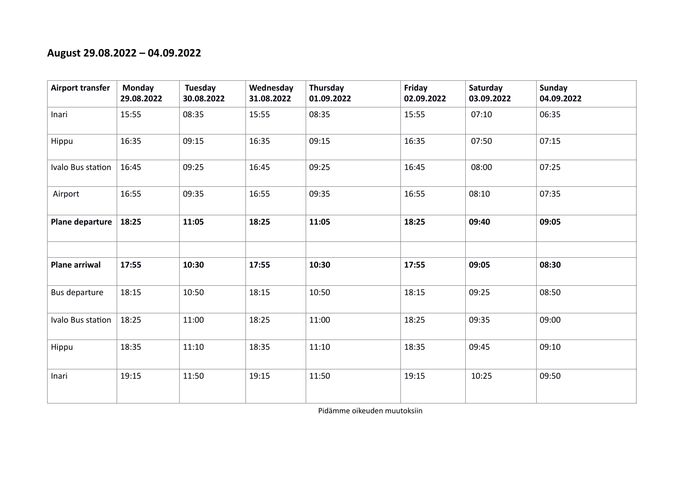### **August 29.08.2022 – 04.09.2022**

| <b>Airport transfer</b> | Monday<br>29.08.2022 | Tuesday<br>30.08.2022 | Wednesday<br>31.08.2022 | Thursday<br>01.09.2022 | Friday<br>02.09.2022 | Saturday<br>03.09.2022 | <b>Sunday</b><br>04.09.2022 |
|-------------------------|----------------------|-----------------------|-------------------------|------------------------|----------------------|------------------------|-----------------------------|
| Inari                   | 15:55                | 08:35                 | 15:55                   | 08:35                  | 15:55                | 07:10                  | 06:35                       |
| Hippu                   | 16:35                | 09:15                 | 16:35                   | 09:15                  | 16:35                | 07:50                  | 07:15                       |
| Ivalo Bus station       | 16:45                | 09:25                 | 16:45                   | 09:25                  | 16:45                | 08:00                  | 07:25                       |
| Airport                 | 16:55                | 09:35                 | 16:55                   | 09:35                  | 16:55                | 08:10                  | 07:35                       |
| Plane departure         | 18:25                | 11:05                 | 18:25                   | 11:05                  | 18:25                | 09:40                  | 09:05                       |
|                         |                      |                       |                         |                        |                      |                        |                             |
| <b>Plane arriwal</b>    | 17:55                | 10:30                 | 17:55                   | 10:30                  | 17:55                | 09:05                  | 08:30                       |
| Bus departure           | 18:15                | 10:50                 | 18:15                   | 10:50                  | 18:15                | 09:25                  | 08:50                       |
| Ivalo Bus station       | 18:25                | 11:00                 | 18:25                   | 11:00                  | 18:25                | 09:35                  | 09:00                       |
| Hippu                   | 18:35                | 11:10                 | 18:35                   | 11:10                  | 18:35                | 09:45                  | 09:10                       |
| Inari                   | 19:15                | 11:50                 | 19:15                   | 11:50                  | 19:15                | 10:25                  | 09:50                       |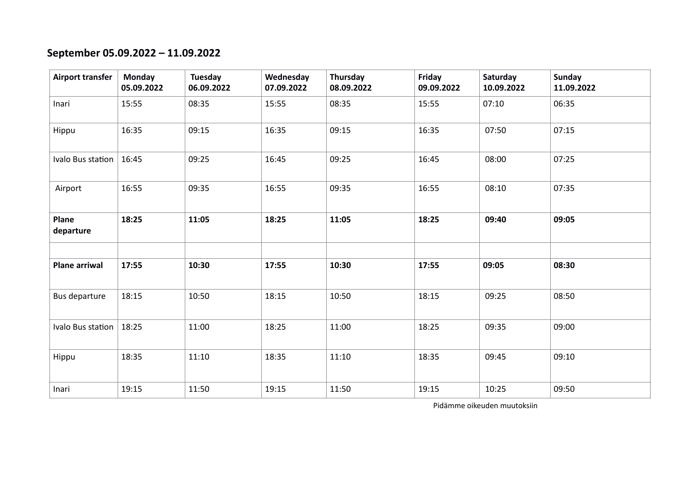# **September 05.09.2022 – 11.09.2022**

| <b>Airport transfer</b> | <b>Monday</b><br>05.09.2022 | Tuesday<br>06.09.2022 | Wednesday<br>07.09.2022 | Thursday<br>08.09.2022 | Friday<br>09.09.2022 | Saturday<br>10.09.2022 | Sunday<br>11.09.2022 |
|-------------------------|-----------------------------|-----------------------|-------------------------|------------------------|----------------------|------------------------|----------------------|
| Inari                   | 15:55                       | 08:35                 | 15:55                   | 08:35                  | 15:55                | 07:10                  | 06:35                |
| Hippu                   | 16:35                       | 09:15                 | 16:35                   | 09:15                  | 16:35                | 07:50                  | 07:15                |
| Ivalo Bus station       | 16:45                       | 09:25                 | 16:45                   | 09:25                  | 16:45                | 08:00                  | 07:25                |
| Airport                 | 16:55                       | 09:35                 | 16:55                   | 09:35                  | 16:55                | 08:10                  | 07:35                |
| Plane<br>departure      | 18:25                       | 11:05                 | 18:25                   | 11:05                  | 18:25                | 09:40                  | 09:05                |
| <b>Plane arriwal</b>    | 17:55                       | 10:30                 | 17:55                   | 10:30                  | 17:55                | 09:05                  | 08:30                |
|                         |                             |                       |                         |                        |                      |                        |                      |
| Bus departure           | 18:15                       | 10:50                 | 18:15                   | 10:50                  | 18:15                | 09:25                  | 08:50                |
| Ivalo Bus station       | 18:25                       | 11:00                 | 18:25                   | 11:00                  | 18:25                | 09:35                  | 09:00                |
| Hippu                   | 18:35                       | 11:10                 | 18:35                   | 11:10                  | 18:35                | 09:45                  | 09:10                |
| Inari                   | 19:15                       | 11:50                 | 19:15                   | 11:50                  | 19:15                | 10:25                  | 09:50                |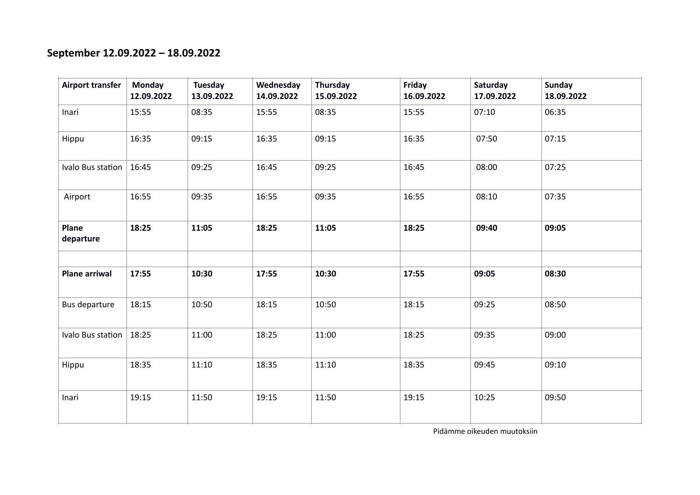# **September 12.09.2022 – 18.09.2022**

| <b>Airport transfer</b> | <b>Monday</b><br>12.09.2022 | Tuesday<br>13.09.2022 | Wednesday<br>14.09.2022 | Thursday<br>15.09.2022 | Friday<br>16.09.2022 | Saturday<br>17.09.2022 | <b>Sunday</b><br>18.09.2022 |
|-------------------------|-----------------------------|-----------------------|-------------------------|------------------------|----------------------|------------------------|-----------------------------|
| Inari                   | 15:55                       | 08:35                 | 15:55                   | 08:35                  | 15:55                | 07:10                  | 06:35                       |
| Hippu                   | 16:35                       | 09:15                 | 16:35                   | 09:15                  | 16:35                | 07:50                  | 07:15                       |
| Ivalo Bus station       | 16:45                       | 09:25                 | 16:45                   | 09:25                  | 16:45                | 08:00                  | 07:25                       |
| Airport                 | 16:55                       | 09:35                 | 16:55                   | 09:35                  | 16:55                | 08:10                  | 07:35                       |
| Plane<br>departure      | 18:25                       | 11:05                 | 18:25                   | 11:05                  | 18:25                | 09:40                  | 09:05                       |
|                         |                             |                       |                         |                        |                      |                        |                             |
| <b>Plane arriwal</b>    | 17:55                       | 10:30                 | 17:55                   | 10:30                  | 17:55                | 09:05                  | 08:30                       |
| Bus departure           | 18:15                       | 10:50                 | 18:15                   | 10:50                  | 18:15                | 09:25                  | 08:50                       |
| Ivalo Bus station       | 18:25                       | 11:00                 | 18:25                   | 11:00                  | 18:25                | 09:35                  | 09:00                       |
| Hippu                   | 18:35                       | 11:10                 | 18:35                   | 11:10                  | 18:35                | 09:45                  | 09:10                       |
| Inari                   | 19:15                       | 11:50                 | 19:15                   | 11:50                  | 19:15                | 10:25                  | 09:50                       |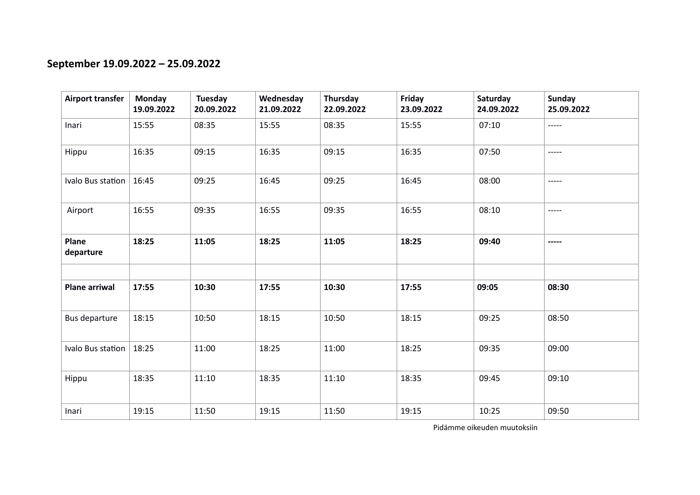# **September 19.09.2022 – 25.09.2022**

| Airport transfer      | Monday<br>19.09.2022 | Tuesday<br>20.09.2022 | Wednesday<br>21.09.2022 | Thursday<br>22.09.2022 | Friday<br>23.09.2022 | Saturday<br>24.09.2022 | Sunday<br>25.09.2022 |
|-----------------------|----------------------|-----------------------|-------------------------|------------------------|----------------------|------------------------|----------------------|
| Inari                 | 15:55                | 08:35                 | 15:55                   | 08:35                  | 15:55                | 07:10                  | -----                |
| Hippu                 | 16:35                | 09:15                 | 16:35                   | 09:15                  | 16:35                | 07:50                  | -----                |
| Ivalo Bus station     | 16:45                | 09:25                 | 16:45                   | 09:25                  | 16:45                | 08:00                  | $-----$              |
| Airport               | 16:55                | 09:35                 | 16:55                   | 09:35                  | 16:55                | 08:10                  | -----                |
| Plane<br>departure    | 18:25                | 11:05                 | 18:25                   | 11:05                  | 18:25                | 09:40                  | -----                |
|                       |                      |                       |                         |                        |                      |                        |                      |
| <b>Plane arriwal</b>  | 17:55                | 10:30                 | 17:55                   | 10:30                  | 17:55                | 09:05                  | 08:30                |
| Bus departure         | 18:15                | 10:50                 | 18:15                   | 10:50                  | 18:15                | 09:25                  | 08:50                |
| Ivalo Bus station $ $ | 18:25                | 11:00                 | 18:25                   | 11:00                  | 18:25                | 09:35                  | 09:00                |
| Hippu                 | 18:35                | 11:10                 | 18:35                   | 11:10                  | 18:35                | 09:45                  | 09:10                |
| Inari                 | 19:15                | 11:50                 | 19:15                   | 11:50                  | 19:15                | 10:25                  | 09:50                |